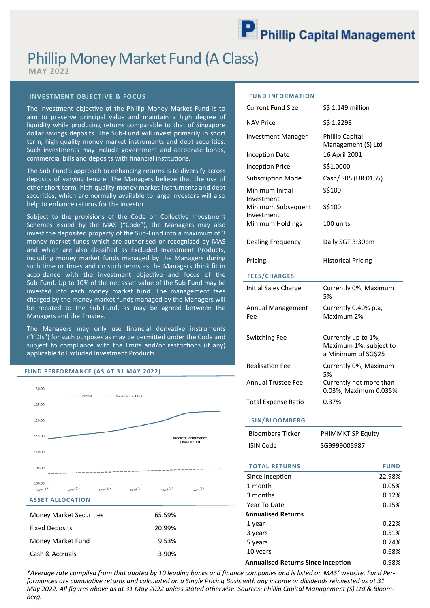# Phillip Money Market Fund (A Class)

**MAY 2022**

## **INVESTMENT OBJECTIVE & FOCUS**

The investment objective of the Phillip Money Market Fund is to aim to preserve principal value and maintain a high degree of liquidity while producing returns comparable to that of Singapore dollar savings deposits. The Sub-Fund will invest primarily in short term, high quality money market instruments and debt securities. Such investments may include government and corporate bonds, commercial bills and deposits with financial institutions.

The Sub-Fund's approach to enhancing returns is to diversify across deposits of varying tenure. The Managers believe that the use of other short term, high quality money market instruments and debt securities, which are normally available to large investors will also help to enhance returns for the investor.

Subject to the provisions of the Code on Collective Investment Schemes issued by the MAS ("Code"), the Managers may also invest the deposited property of the Sub-Fund into a maximum of 3 money market funds which are authorised or recognised by MAS and which are also classified as Excluded Investment Products, including money market funds managed by the Managers during such time or times and on such terms as the Managers think fit in accordance with the investment objective and focus of the Sub-Fund. Up to 10% of the net asset value of the Sub-Fund may be invested into each money market fund. The management fees charged by the money market funds managed by the Managers will be rebated to the Sub-Fund, as may be agreed between the Managers and the Trustee.

The Managers may only use financial derivative instruments ("FDIs") for such purposes as may be permitted under the Code and subject to compliance with the limits and/or restrictions (if any) applicable to Excluded Investment Products.

#### **FUND PERFORMANCE (AS AT 31 MAY 2022)**



Money Market Fund 9.53% Cash & Accruals 3.90%

## **FUND INFORMATION**

| <b>Current Fund Size</b>         | S\$ 1,149 million                                                    |
|----------------------------------|----------------------------------------------------------------------|
| <b>NAV Price</b>                 | S\$ 1.2298                                                           |
| <b>Investment Manager</b>        | <b>Phillip Capital</b><br>Management (S) Ltd                         |
| <b>Inception Date</b>            | 16 April 2001                                                        |
| <b>Inception Price</b>           | \$\$1.0000                                                           |
| <b>Subscription Mode</b>         | Cash/ SRS (UR 0155)                                                  |
| Minimum Initial<br>Investment    | S\$100                                                               |
| Minimum Subsequent<br>Investment | S\$100                                                               |
| Minimum Holdings                 | 100 units                                                            |
| <b>Dealing Frequency</b>         | Daily SGT 3:30pm                                                     |
| Pricing                          | <b>Historical Pricing</b>                                            |
|                                  |                                                                      |
| <b>FEES/CHARGES</b>              |                                                                      |
| Initial Sales Charge             | Currently 0%, Maximum<br>5%                                          |
| Annual Management<br>Fee         | Currently 0.40% p.a,<br>Maximum 2%                                   |
| <b>Switching Fee</b>             | Currently up to 1%,<br>Maximum 1%; subject to<br>a Minimum of SG\$25 |
| <b>Realisation Fee</b>           | Currently 0%, Maximum<br>5%                                          |
| Annual Trustee Fee               | Currently not more than<br>0.03%, Maximum 0.035%                     |

## **ISIN/BLOOMBERG**

| <b>Bloomberg Ticker</b> | <b>PHIMMKT SP Equity</b> |
|-------------------------|--------------------------|
| <b>ISIN Code</b>        | SG9999005987             |

| <b>TOTAL RETURNS</b>                      | <b>FUND</b> |
|-------------------------------------------|-------------|
| Since Inception                           | 22.98%      |
| 1 month                                   | 0.05%       |
| 3 months                                  | 0.12%       |
| Year To Date                              | 0.15%       |
| <b>Annualised Returns</b>                 |             |
| 1 year                                    | 0.22%       |
| 3 years                                   | 0.51%       |
| 5 years                                   | 0.74%       |
| 10 years                                  | 0.68%       |
| <b>Annualised Returns Since Inception</b> | 0.98%       |

*\*Average rate compiled from that quoted by 10 leading banks and finance companies and is listed on MAS' website. Fund Performances are cumulative returns and calculated on a Single Pricing Basis with any income or dividends reinvested as at 31 May 2022. All figures above as at 31 May 2022 unless stated otherwise. Sources: Phillip Capital Management (S) Ltd & Bloomberg.*